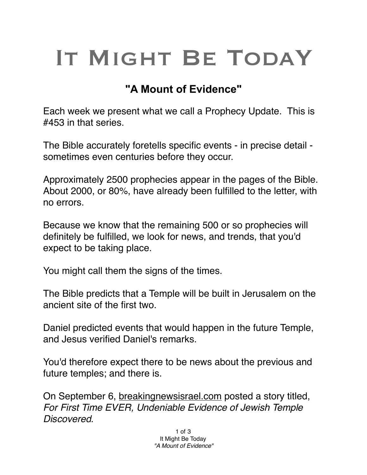## IT MIGHT BE TODAY

## **"A Mount of Evidence"**

Each week we present what we call a Prophecy Update. This is #453 in that series.

The Bible accurately foretells specific events - in precise detail sometimes even centuries before they occur.

Approximately 2500 prophecies appear in the pages of the Bible. About 2000, or 80%, have already been fulfilled to the letter, with no errors.

Because we know that the remaining 500 or so prophecies will definitely be fulfilled, we look for news, and trends, that you'd expect to be taking place.

You might call them the signs of the times.

The Bible predicts that a Temple will be built in Jerusalem on the ancient site of the first two.

Daniel predicted events that would happen in the future Temple, and Jesus verified Daniel's remarks.

You'd therefore expect there to be news about the previous and future temples; and there is.

On September 6, [breakingnewsisrael.com](http://breakingnewsisrael.com) posted a story titled, *For First Time EVER, Undeniable Evidence of Jewish Temple Discovered.*

> 1 of 3 It Might Be Today *"A Mount of Evidence"*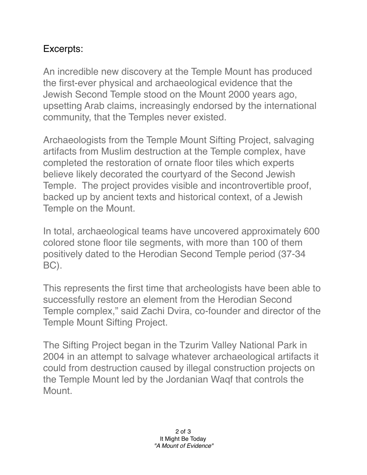## Excerpts:

An incredible new discovery at the Temple Mount has produced the first-ever physical and archaeological evidence that the Jewish Second Temple stood on the Mount 2000 years ago, upsetting Arab claims, increasingly endorsed by the international community, that the Temples never existed.

Archaeologists from the Temple Mount Sifting Project, salvaging artifacts from Muslim destruction at the Temple complex, have completed the restoration of ornate floor tiles which experts believe likely decorated the courtyard of the Second Jewish Temple. The project provides visible and incontrovertible proof, backed up by ancient texts and historical context, of a Jewish Temple on the Mount.

In total, archaeological teams have uncovered approximately 600 colored stone floor tile segments, with more than 100 of them positively dated to the Herodian Second Temple period (37-34 BC).

This represents the first time that archeologists have been able to successfully restore an element from the Herodian Second Temple complex," said Zachi Dvira, co-founder and director of the Temple Mount Sifting Project.

The Sifting Project began in the Tzurim Valley National Park in 2004 in an attempt to salvage whatever archaeological artifacts it could from destruction caused by illegal construction projects on the Temple Mount led by the Jordanian Waqf that controls the Mount.